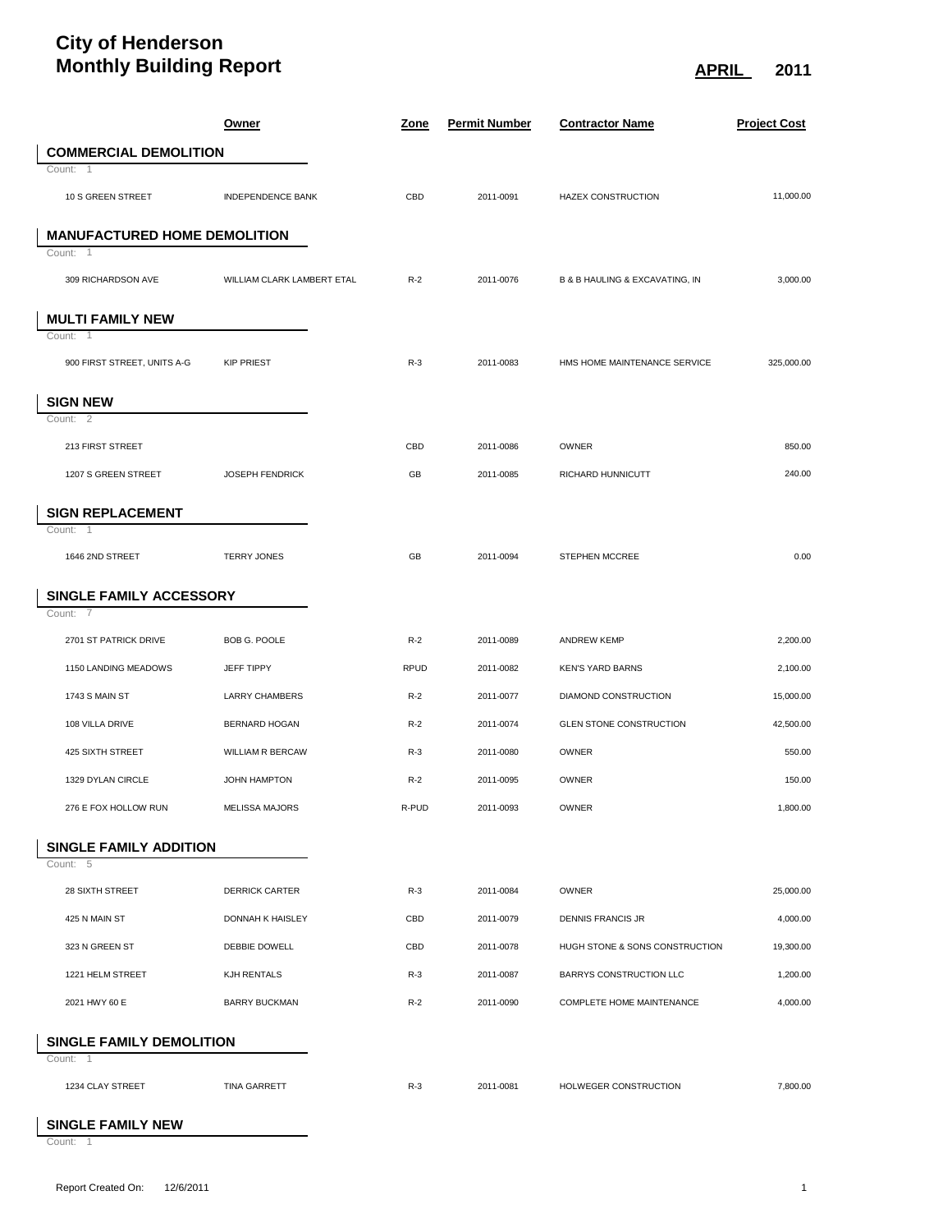## **City of Henderson Monthly Building Report APRIL** 2011

|                                     | <u>Owner</u>               | <u>Zone</u> | <b>Permit Number</b> | <b>Contractor Name</b>         | <b>Project Cost</b> |
|-------------------------------------|----------------------------|-------------|----------------------|--------------------------------|---------------------|
| <b>COMMERCIAL DEMOLITION</b>        |                            |             |                      |                                |                     |
| Count: 1                            |                            |             |                      |                                |                     |
| 10 S GREEN STREET                   | <b>INDEPENDENCE BANK</b>   | CBD         | 2011-0091            | <b>HAZEX CONSTRUCTION</b>      | 11,000.00           |
| <b>MANUFACTURED HOME DEMOLITION</b> |                            |             |                      |                                |                     |
| Count: 1                            |                            |             |                      |                                |                     |
| 309 RICHARDSON AVE                  | WILLIAM CLARK LAMBERT ETAL | $R-2$       | 2011-0076            | B & B HAULING & EXCAVATING, IN | 3,000.00            |
| <b>MULTI FAMILY NEW</b>             |                            |             |                      |                                |                     |
| Count: 1                            |                            |             |                      |                                |                     |
| 900 FIRST STREET, UNITS A-G         | <b>KIP PRIEST</b>          | $R-3$       | 2011-0083            | HMS HOME MAINTENANCE SERVICE   | 325,000.00          |
| <b>SIGN NEW</b>                     |                            |             |                      |                                |                     |
| Count: 2                            |                            |             |                      |                                |                     |
| 213 FIRST STREET                    |                            | CBD         | 2011-0086            | <b>OWNER</b>                   | 850.00              |
| 1207 S GREEN STREET                 | <b>JOSEPH FENDRICK</b>     | GB          | 2011-0085            | RICHARD HUNNICUTT              | 240.00              |
| <b>SIGN REPLACEMENT</b>             |                            |             |                      |                                |                     |
| Count: 1                            |                            |             |                      |                                |                     |
| 1646 2ND STREET                     | <b>TERRY JONES</b>         | GB          | 2011-0094            | STEPHEN MCCREE                 | 0.00                |
| SINGLE FAMILY ACCESSORY             |                            |             |                      |                                |                     |
| Count:<br>-7                        |                            |             |                      |                                |                     |
| 2701 ST PATRICK DRIVE               | BOB G. POOLE               | $R-2$       | 2011-0089            | <b>ANDREW KEMP</b>             | 2,200.00            |
| 1150 LANDING MEADOWS                | JEFF TIPPY                 | <b>RPUD</b> | 2011-0082            | <b>KEN'S YARD BARNS</b>        | 2,100.00            |
| 1743 S MAIN ST                      | <b>LARRY CHAMBERS</b>      | $R-2$       | 2011-0077            | DIAMOND CONSTRUCTION           | 15,000.00           |
| 108 VILLA DRIVE                     | <b>BERNARD HOGAN</b>       | $R-2$       | 2011-0074            | <b>GLEN STONE CONSTRUCTION</b> | 42,500.00           |
| 425 SIXTH STREET                    | <b>WILLIAM R BERCAW</b>    | $R-3$       | 2011-0080            | OWNER                          | 550.00              |
| 1329 DYLAN CIRCLE                   | JOHN HAMPTON               | $R-2$       | 2011-0095            | <b>OWNER</b>                   | 150.00              |
| 276 E FOX HOLLOW RUN                | <b>MELISSA MAJORS</b>      | R-PUD       | 2011-0093            | OWNER                          | 1.800.00            |
| <b>SINGLE FAMILY ADDITION</b>       |                            |             |                      |                                |                     |
| Count: 5                            |                            |             |                      |                                |                     |
| 28 SIXTH STREET                     | <b>DERRICK CARTER</b>      | $R-3$       | 2011-0084            | OWNER                          | 25,000.00           |
| 425 N MAIN ST                       | DONNAH K HAISLEY           | CBD         | 2011-0079            | <b>DENNIS FRANCIS JR</b>       | 4,000.00            |
| 323 N GREEN ST                      | DEBBIE DOWELL              | CBD         | 2011-0078            | HUGH STONE & SONS CONSTRUCTION | 19,300.00           |
| 1221 HELM STREET                    | KJH RENTALS                | $R-3$       | 2011-0087            | BARRYS CONSTRUCTION LLC        | 1,200.00            |
| 2021 HWY 60 E                       | <b>BARRY BUCKMAN</b>       | $R-2$       | 2011-0090            | COMPLETE HOME MAINTENANCE      | 4,000.00            |
| SINGLE FAMILY DEMOLITION            |                            |             |                      |                                |                     |
| Count: 1                            |                            |             |                      |                                |                     |
| 1234 CLAY STREET                    | <b>TINA GARRETT</b>        | $R-3$       | 2011-0081            | HOLWEGER CONSTRUCTION          | 7,800.00            |
|                                     |                            |             |                      |                                |                     |

**SINGLE FAMILY NEW**

Count: 1

L